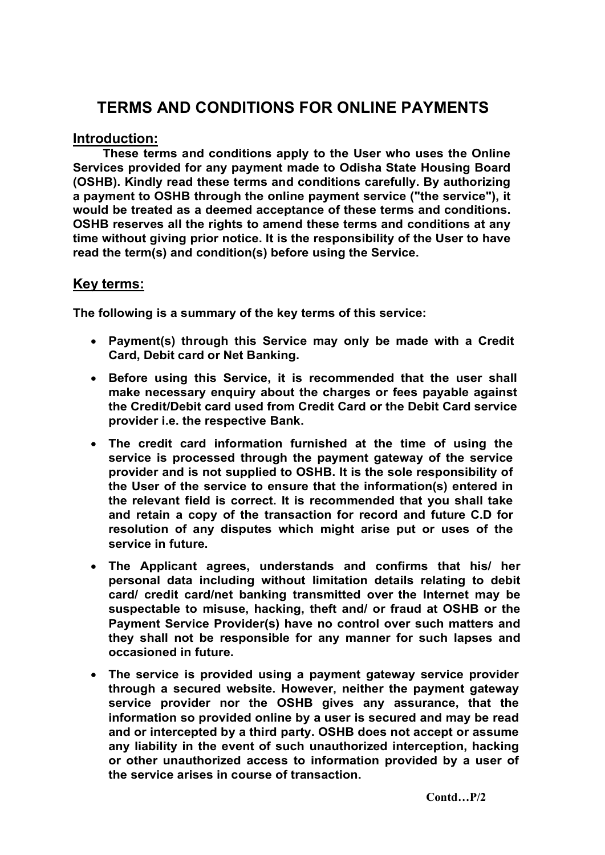# TERMS AND CONDITIONS FOR ONLINE PAYMENTS

# Introduction:

These terms and conditions apply to the User who uses the Online Services provided for any payment made to Odisha State Housing Board (OSHB). Kindly read these terms and conditions carefully. By authorizing a payment to OSHB through the online payment service ("the service"), it would be treated as a deemed acceptance of these terms and conditions. OSHB reserves all the rights to amend these terms and conditions at any time without giving prior notice. It is the responsibility of the User to have read the term(s) and condition(s) before using the Service.

# Key terms:

The following is a summary of the key terms of this service:

- Payment(s) through this Service may only be made with a Credit Card, Debit card or Net Banking.
- Before using this Service, it is recommended that the user shall make necessary enquiry about the charges or fees payable against the Credit/Debit card used from Credit Card or the Debit Card service provider i.e. the respective Bank.
- The credit card information furnished at the time of using the service is processed through the payment gateway of the service provider and is not supplied to OSHB. It is the sole responsibility of the User of the service to ensure that the information(s) entered in the relevant field is correct. It is recommended that you shall take and retain a copy of the transaction for record and future C.D for resolution of any disputes which might arise put or uses of the service in future.
- The Applicant agrees, understands and confirms that his/ her personal data including without limitation details relating to debit card/ credit card/net banking transmitted over the Internet may be suspectable to misuse, hacking, theft and/ or fraud at OSHB or the Payment Service Provider(s) have no control over such matters and they shall not be responsible for any manner for such lapses and occasioned in future.
- The service is provided using a payment gateway service provider through a secured website. However, neither the payment gateway service provider nor the OSHB gives any assurance, that the information so provided online by a user is secured and may be read and or intercepted by a third party. OSHB does not accept or assume any liability in the event of such unauthorized interception, hacking or other unauthorized access to information provided by a user of the service arises in course of transaction.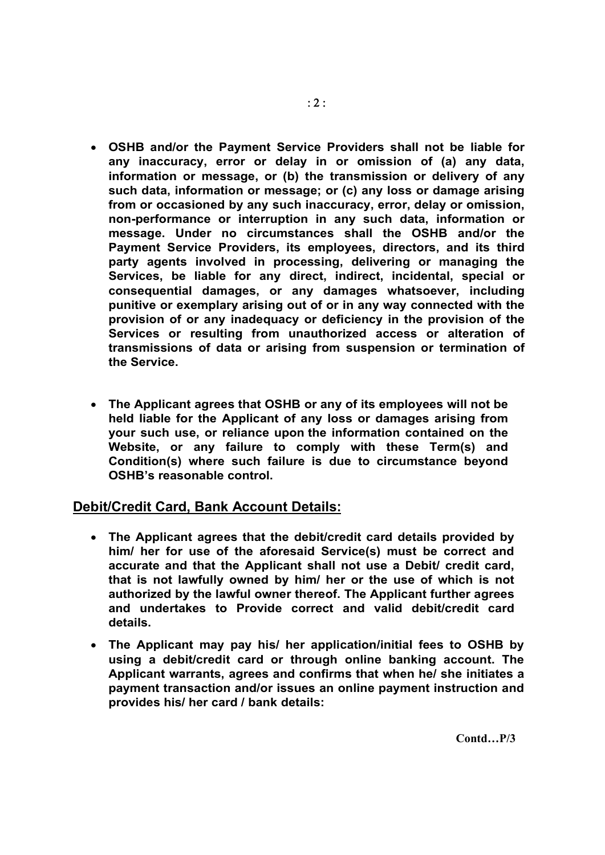- OSHB and/or the Payment Service Providers shall not be liable for any inaccuracy, error or delay in or omission of (a) any data, information or message, or (b) the transmission or delivery of any such data, information or message; or (c) any loss or damage arising from or occasioned by any such inaccuracy, error, delay or omission, non-performance or interruption in any such data, information or message. Under no circumstances shall the OSHB and/or the Payment Service Providers, its employees, directors, and its third party agents involved in processing, delivering or managing the Services, be liable for any direct, indirect, incidental, special or consequential damages, or any damages whatsoever, including punitive or exemplary arising out of or in any way connected with the provision of or any inadequacy or deficiency in the provision of the Services or resulting from unauthorized access or alteration of transmissions of data or arising from suspension or termination of the Service.
- The Applicant agrees that OSHB or any of its employees will not be held liable for the Applicant of any loss or damages arising from your such use, or reliance upon the information contained on the Website, or any failure to comply with these Term(s) and Condition(s) where such failure is due to circumstance beyond OSHB's reasonable control.

# Debit/Credit Card, Bank Account Details:

- The Applicant agrees that the debit/credit card details provided by him/ her for use of the aforesaid Service(s) must be correct and accurate and that the Applicant shall not use a Debit/ credit card, that is not lawfully owned by him/ her or the use of which is not authorized by the lawful owner thereof. The Applicant further agrees and undertakes to Provide correct and valid debit/credit card details.
- The Applicant may pay his/ her application/initial fees to OSHB by using a debit/credit card or through online banking account. The Applicant warrants, agrees and confirms that when he/ she initiates a payment transaction and/or issues an online payment instruction and provides his/ her card / bank details:

Contd…P/3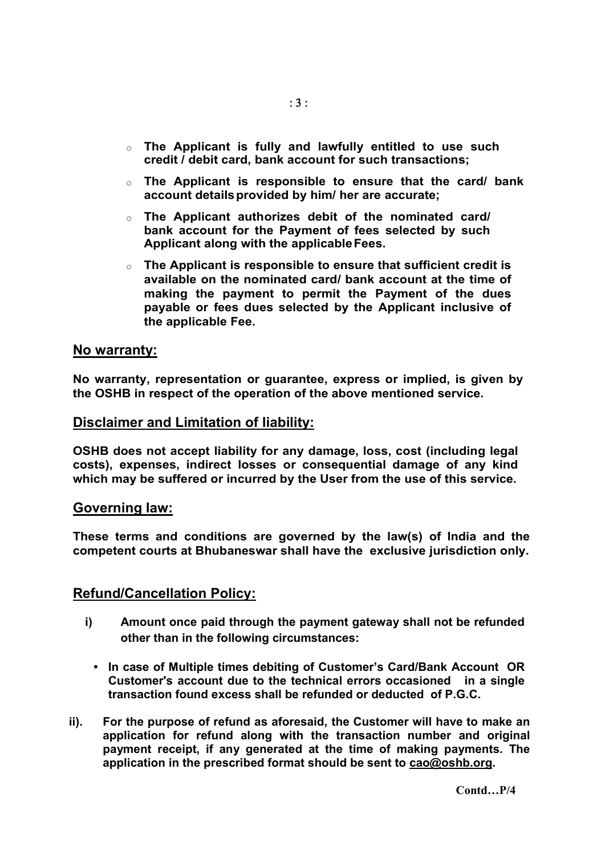- $\circ$  The Applicant is fully and lawfully entitled to use such credit / debit card, bank account for such transactions;
- $\circ$  The Applicant is responsible to ensure that the card/ bank account details provided by him/ her are accurate;
- $\circ$  The Applicant authorizes debit of the nominated card/ bank account for the Payment of fees selected by such Applicant along with the applicableFees.
- $\circ$  The Applicant is responsible to ensure that sufficient credit is available on the nominated card/ bank account at the time of making the payment to permit the Payment of the dues payable or fees dues selected by the Applicant inclusive of the applicable Fee.

#### No warranty:

No warranty, representation or guarantee, express or implied, is given by the OSHB in respect of the operation of the above mentioned service.

#### Disclaimer and Limitation of liability:

OSHB does not accept liability for any damage, loss, cost (including legal costs), expenses, indirect losses or consequential damage of any kind which may be suffered or incurred by the User from the use of this service.

#### Governing law:

These terms and conditions are governed by the law(s) of India and the competent courts at Bhubaneswar shall have the exclusive jurisdiction only.

#### Refund/Cancellation Policy:

- i) Amount once paid through the payment gateway shall not be refunded other than in the following circumstances:
	- In case of Multiple times debiting of Customer's Card/Bank Account OR Customer's account due to the technical errors occasioned in a single transaction found excess shall be refunded or deducted of P.G.C.
- ii). For the purpose of refund as aforesaid, the Customer will have to make an application for refund along with the transaction number and original payment receipt, if any generated at the time of making payments. The application in the prescribed format should be sent to cao@oshb.org.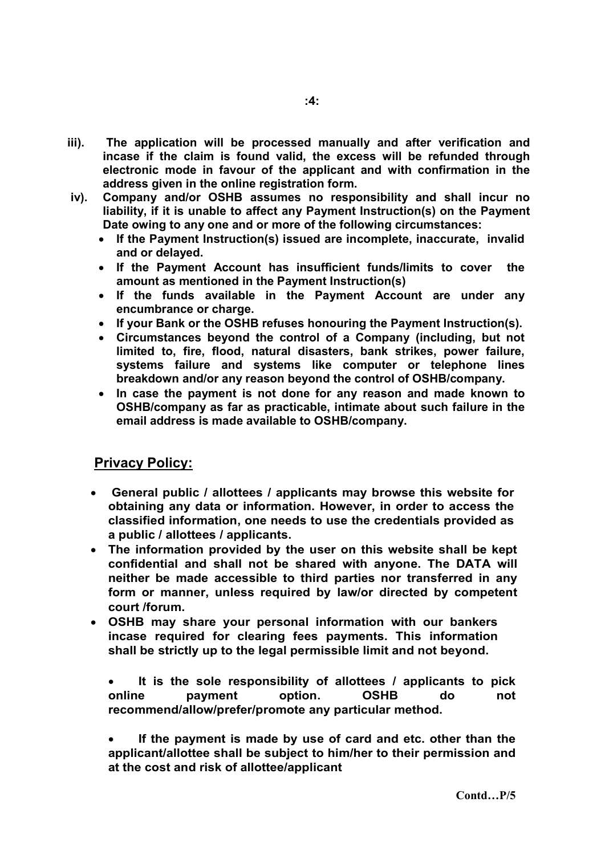- iii). The application will be processed manually and after verification and incase if the claim is found valid, the excess will be refunded through electronic mode in favour of the applicant and with confirmation in the address given in the online registration form.
- iv). Company and/or OSHB assumes no responsibility and shall incur no liability, if it is unable to affect any Payment Instruction(s) on the Payment Date owing to any one and or more of the following circumstances:
	- If the Payment Instruction(s) issued are incomplete, inaccurate, invalid and or delayed.
	- If the Payment Account has insufficient funds/limits to cover the amount as mentioned in the Payment Instruction(s)
	- If the funds available in the Payment Account are under any encumbrance or charge.
	- If your Bank or the OSHB refuses honouring the Payment Instruction(s).
	- Circumstances beyond the control of a Company (including, but not limited to, fire, flood, natural disasters, bank strikes, power failure, systems failure and systems like computer or telephone lines breakdown and/or any reason beyond the control of OSHB/company.
	- In case the payment is not done for any reason and made known to OSHB/company as far as practicable, intimate about such failure in the email address is made available to OSHB/company.

# Privacy Policy:

- General public / allottees / applicants may browse this website for obtaining any data or information. However, in order to access the classified information, one needs to use the credentials provided as a public / allottees / applicants.
- The information provided by the user on this website shall be kept confidential and shall not be shared with anyone. The DATA will neither be made accessible to third parties nor transferred in any form or manner, unless required by law/or directed by competent court /forum.
- OSHB may share your personal information with our bankers incase required for clearing fees payments. This information shall be strictly up to the legal permissible limit and not beyond.

• It is the sole responsibility of allottees / applicants to pick online payment option. OSHB do not recommend/allow/prefer/promote any particular method.

• If the payment is made by use of card and etc. other than the applicant/allottee shall be subject to him/her to their permission and at the cost and risk of allottee/applicant